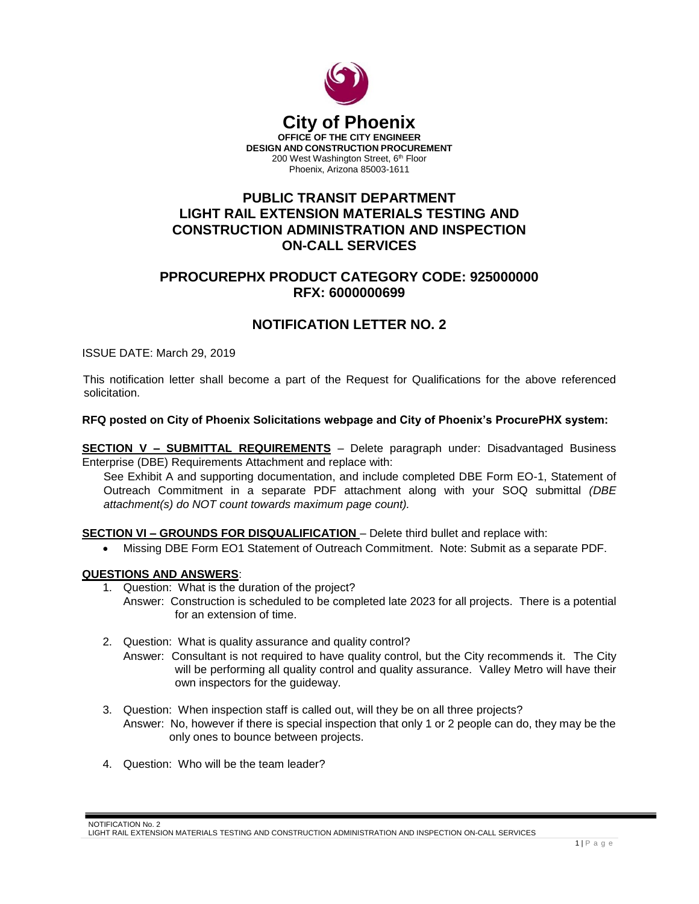

# **PUBLIC TRANSIT DEPARTMENT LIGHT RAIL EXTENSION MATERIALS TESTING AND CONSTRUCTION ADMINISTRATION AND INSPECTION ON-CALL SERVICES**

# **PPROCUREPHX PRODUCT CATEGORY CODE: 925000000 RFX: 6000000699**

### **NOTIFICATION LETTER NO. 2**

ISSUE DATE: March 29, 2019

This notification letter shall become a part of the Request for Qualifications for the above referenced solicitation.

#### **RFQ posted on City of Phoenix Solicitations webpage and City of Phoenix's ProcurePHX system:**

**SECTION V – SUBMITTAL REQUIREMENTS** – Delete paragraph under: Disadvantaged Business Enterprise (DBE) Requirements Attachment and replace with:

See Exhibit A and supporting documentation, and include completed DBE Form EO-1, Statement of Outreach Commitment in a separate PDF attachment along with your SOQ submittal *(DBE attachment(s) do NOT count towards maximum page count).*

### **SECTION VI – GROUNDS FOR DISQUALIFICATION** – Delete third bullet and replace with:

Missing DBE Form EO1 Statement of Outreach Commitment. Note: Submit as a separate PDF.

#### **QUESTIONS AND ANSWERS**:

- 1. Question: What is the duration of the project?
	- Answer: Construction is scheduled to be completed late 2023 for all projects. There is a potential for an extension of time.
- 2. Question: What is quality assurance and quality control?
	- Answer: Consultant is not required to have quality control, but the City recommends it. The City will be performing all quality control and quality assurance. Valley Metro will have their own inspectors for the guideway.
- 3. Question: When inspection staff is called out, will they be on all three projects? Answer: No, however if there is special inspection that only 1 or 2 people can do, they may be the only ones to bounce between projects.
- 4. Question: Who will be the team leader?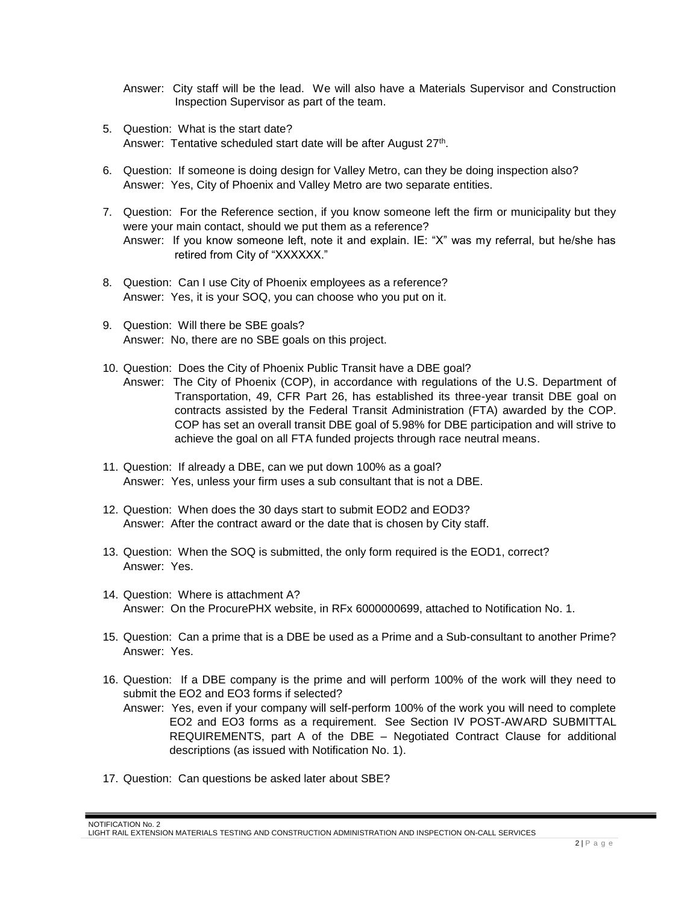Answer: City staff will be the lead. We will also have a Materials Supervisor and Construction Inspection Supervisor as part of the team.

- 5. Question: What is the start date? Answer: Tentative scheduled start date will be after August 27<sup>th</sup>.
- 6. Question: If someone is doing design for Valley Metro, can they be doing inspection also? Answer: Yes, City of Phoenix and Valley Metro are two separate entities.
- 7. Question: For the Reference section, if you know someone left the firm or municipality but they were your main contact, should we put them as a reference? Answer: If you know someone left, note it and explain. IE: "X" was my referral, but he/she has retired from City of "XXXXXX."
- 8. Question: Can I use City of Phoenix employees as a reference? Answer: Yes, it is your SOQ, you can choose who you put on it.
- 9. Question: Will there be SBE goals? Answer: No, there are no SBE goals on this project.
- 10. Question: Does the City of Phoenix Public Transit have a DBE goal?
	- Answer: The City of Phoenix (COP), in accordance with regulations of the U.S. Department of Transportation, 49, CFR Part 26, has established its three-year transit DBE goal on contracts assisted by the Federal Transit Administration (FTA) awarded by the COP. COP has set an overall transit DBE goal of 5.98% for DBE participation and will strive to achieve the goal on all FTA funded projects through race neutral means.
- 11. Question: If already a DBE, can we put down 100% as a goal? Answer: Yes, unless your firm uses a sub consultant that is not a DBE.
- 12. Question: When does the 30 days start to submit EOD2 and EOD3? Answer: After the contract award or the date that is chosen by City staff.
- 13. Question: When the SOQ is submitted, the only form required is the EOD1, correct? Answer: Yes.
- 14. Question: Where is attachment A? Answer: On the ProcurePHX website, in RFx 6000000699, attached to Notification No. 1.
- 15. Question: Can a prime that is a DBE be used as a Prime and a Sub-consultant to another Prime? Answer: Yes.
- 16. Question: If a DBE company is the prime and will perform 100% of the work will they need to submit the EO2 and EO3 forms if selected?
	- Answer: Yes, even if your company will self-perform 100% of the work you will need to complete EO2 and EO3 forms as a requirement. See Section IV POST-AWARD SUBMITTAL REQUIREMENTS, part A of the DBE – Negotiated Contract Clause for additional descriptions (as issued with Notification No. 1).
- 17. Question: Can questions be asked later about SBE?